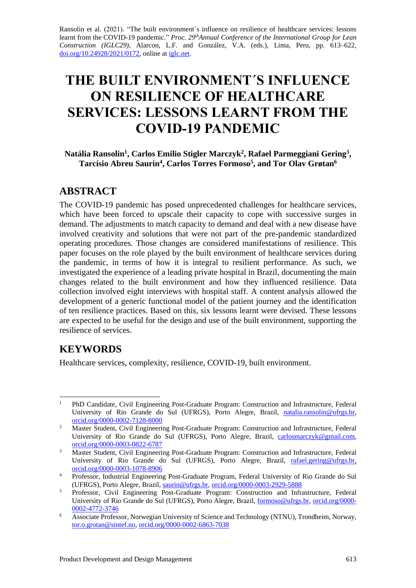Ransolin et al. (2021). "The built environment´s influence on resilience of healthcare services: lessons learnt from the COVID-19 pandemic." *Proc. 29thAnnual Conference of the International Group for Lean Construction (IGLC29),* Alarcon, L.F. and González, V.A. (eds.)*,* Lima, Peru, pp. 613–622, [doi.org/10.24928/2021/0172,](https://doi.org/10.24928/2021/XXXX) online a[t iglc.net.](http://iglc.net/)

# **THE BUILT ENVIRONMENT´S INFLUENCE ON RESILIENCE OF HEALTHCARE SERVICES: LESSONS LEARNT FROM THE COVID-19 PANDEMIC**

**Natália Ransolin<sup>1</sup> , Carlos Emilio Stigler Marczyk<sup>2</sup> , Rafael Parmeggiani Gering<sup>3</sup> , Tarcísio Abreu Saurin<sup>4</sup> , Carlos Torres Formoso<sup>5</sup> , and Tor Olav Grøtan<sup>6</sup>**

## **ABSTRACT**

The COVID-19 pandemic has posed unprecedented challenges for healthcare services, which have been forced to upscale their capacity to cope with successive surges in demand. The adjustments to match capacity to demand and deal with a new disease have involved creativity and solutions that were not part of the pre-pandemic standardized operating procedures. Those changes are considered manifestations of resilience. This paper focuses on the role played by the built environment of healthcare services during the pandemic, in terms of how it is integral to resilient performance. As such, we investigated the experience of a leading private hospital in Brazil, documenting the main changes related to the built environment and how they influenced resilience. Data collection involved eight interviews with hospital staff. A content analysis allowed the development of a generic functional model of the patient journey and the identification of ten resilience practices. Based on this, six lessons learnt were devised. These lessons are expected to be useful for the design and use of the built environment, supporting the resilience of services.

# **KEYWORDS**

Healthcare services, complexity, resilience, COVID-19, built environment.

<sup>&</sup>lt;sup>1</sup> PhD Candidate, Civil Engineering Post-Graduate Program: Construction and Infrastructure, Federal University of Rio Grande do Sul (UFRGS), Porto Alegre, Brazil, [natalia.ransolin@ufrgs.br,](mailto:natalia.ransolin@ufrgs.br) [orcid.org/0000-0002-7128-8000](https://orcid.org/0000-0002-7128-8000)

<sup>&</sup>lt;sup>2</sup> Master Student, Civil Engineering Post-Graduate Program: Construction and Infrastructure, Federal University of Rio Grande do Sul (UFRGS), Porto Alegre, Brazil, [carlosmarczyk@gmail.com,](mailto:carlosmarczyk@gmail.com) [orcid.org/0000-0003-0822-6787](https://orcid.org/0000-0003-0822-6787)

<sup>&</sup>lt;sup>3</sup> Master Student, Civil Engineering Post-Graduate Program: Construction and Infrastructure, Federal University of Rio Grande do Sul (UFRGS), Porto Alegre, Brazil, [rafael.gering@ufrgs.br,](mailto:rafael.gering@ufrgs.br) [orcid.org/0000-0003-1078-8906](https://orcid.org/0000-0003-1078-8906)

<sup>&</sup>lt;sup>4</sup> Professor, Industrial Engineering Post-Graduate Program, Federal University of Rio Grande do Sul (UFRGS), Porto Alegre, Brazil, [saurin@ufrgs.br,](mailto:saurin@ufrgs.br) [orcid.org/0000-0003-2929-5888](https://orcid.org/0000-0003-2929-5888)

<sup>&</sup>lt;sup>5</sup> Professor, Civil Engineering Post-Graduate Program: Construction and Infrastructure, Federal University of Rio Grande do Sul (UFRGS), Porto Alegre, Brazil, [formoso@ufrgs.br,](mailto:formoso@ufrgs.br) [orcid.org/0000-](https://orcid.org/0000-0002-4772-3746) [0002-4772-3746](https://orcid.org/0000-0002-4772-3746)

<sup>6</sup> Associate Professor, Norwegian University of Science and Technology (NTNU), Trondheim, Norway, [tor.o.grotan@sintef.no,](mailto:tor.o.grotan@sintef.no) [orcid.org/0000-0002-6863-7038](https://orcid.org/0000-0002-6863-7038)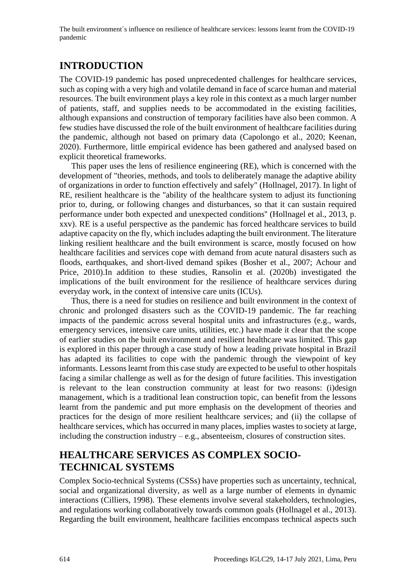## **INTRODUCTION**

The COVID-19 pandemic has posed unprecedented challenges for healthcare services, such as coping with a very high and volatile demand in face of scarce human and material resources. The built environment plays a key role in this context as a much larger number of patients, staff, and supplies needs to be accommodated in the existing facilities, although expansions and construction of temporary facilities have also been common. A few studies have discussed the role of the built environment of healthcare facilities during the pandemic, although not based on primary data (Capolongo et al., 2020; Keenan, 2020). Furthermore, little empirical evidence has been gathered and analysed based on explicit theoretical frameworks.

This paper uses the lens of resilience engineering (RE), which is concerned with the development of "theories, methods, and tools to deliberately manage the adaptive ability of organizations in order to function effectively and safely" (Hollnagel, 2017). In light of RE, resilient healthcare is the "ability of the healthcare system to adjust its functioning prior to, during, or following changes and disturbances, so that it can sustain required performance under both expected and unexpected conditions'' (Hollnagel et al., 2013, p. xxv). RE is a useful perspective as the pandemic has forced healthcare services to build adaptive capacity on the fly, which includes adapting the built environment. The literature linking resilient healthcare and the built environment is scarce, mostly focused on how healthcare facilities and services cope with demand from acute natural disasters such as floods, earthquakes, and short-lived demand spikes (Bosher et al., 2007; Achour and Price, 2010).In addition to these studies, Ransolin et al. (2020b) investigated the implications of the built environment for the resilience of healthcare services during everyday work, in the context of intensive care units (ICUs).

Thus, there is a need for studies on resilience and built environment in the context of chronic and prolonged disasters such as the COVID-19 pandemic. The far reaching impacts of the pandemic across several hospital units and infrastructures (e.g., wards, emergency services, intensive care units, utilities, etc.) have made it clear that the scope of earlier studies on the built environment and resilient healthcare was limited. This gap is explored in this paper through a case study of how a leading private hospital in Brazil has adapted its facilities to cope with the pandemic through the viewpoint of key informants. Lessons learnt from this case study are expected to be useful to other hospitals facing a similar challenge as well as for the design of future facilities. This investigation is relevant to the lean construction community at least for two reasons: (i)design management, which is a traditional lean construction topic, can benefit from the lessons learnt from the pandemic and put more emphasis on the development of theories and practices for the design of more resilient healthcare services; and (ii) the collapse of healthcare services, which has occurred in many places, implies wastes to society at large, including the construction industry – e.g., absenteeism, closures of construction sites.

# **HEALTHCARE SERVICES AS COMPLEX SOCIO-TECHNICAL SYSTEMS**

Complex Socio-technical Systems (CSSs) have properties such as uncertainty, technical, social and organizational diversity, as well as a large number of elements in dynamic interactions (Cilliers, 1998). These elements involve several stakeholders, technologies, and regulations working collaboratively towards common goals (Hollnagel et al., 2013). Regarding the built environment, healthcare facilities encompass technical aspects such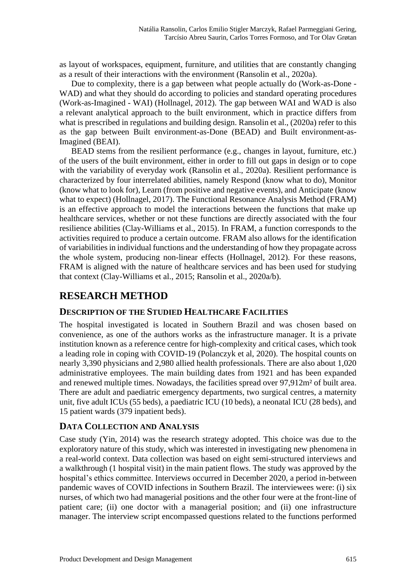as layout of workspaces, equipment, furniture, and utilities that are constantly changing as a result of their interactions with the environment (Ransolin et al., 2020a).

Due to complexity, there is a gap between what people actually do (Work-as-Done - WAD) and what they should do according to policies and standard operating procedures (Work-as-Imagined - WAI) (Hollnagel, 2012). The gap between WAI and WAD is also a relevant analytical approach to the built environment, which in practice differs from what is prescribed in regulations and building design. Ransolin et al., (2020a) refer to this as the gap between Built environment-as-Done (BEAD) and Built environment-as-Imagined (BEAI).

BEAD stems from the resilient performance (e.g., changes in layout, furniture, etc.) of the users of the built environment, either in order to fill out gaps in design or to cope with the variability of everyday work (Ransolin et al., 2020a). Resilient performance is characterized by four interrelated abilities, namely Respond (know what to do), Monitor (know what to look for), Learn (from positive and negative events), and Anticipate (know what to expect) (Hollnagel, 2017). The Functional Resonance Analysis Method (FRAM) is an effective approach to model the interactions between the functions that make up healthcare services, whether or not these functions are directly associated with the four resilience abilities (Clay-Williams et al., 2015). In FRAM, a function corresponds to the activities required to produce a certain outcome. FRAM also allows for the identification of variabilities in individual functions and the understanding of how they propagate across the whole system, producing non-linear effects (Hollnagel, 2012). For these reasons, FRAM is aligned with the nature of healthcare services and has been used for studying that context (Clay-Williams et al., 2015; Ransolin et al., 2020a/b).

## **RESEARCH METHOD**

#### **DESCRIPTION OF THE STUDIED HEALTHCARE FACILITIES**

The hospital investigated is located in Southern Brazil and was chosen based on convenience, as one of the authors works as the infrastructure manager. It is a private institution known as a reference centre for high-complexity and critical cases, which took a leading role in coping with COVID-19 (Polanczyk et al, 2020). The hospital counts on nearly 3,390 physicians and 2,980 allied health professionals. There are also about 1,020 administrative employees. The main building dates from 1921 and has been expanded and renewed multiple times. Nowadays, the facilities spread over 97,912m² of built area. There are adult and paediatric emergency departments, two surgical centres, a maternity unit, five adult ICUs (55 beds), a paediatric ICU (10 beds), a neonatal ICU (28 beds), and 15 patient wards (379 inpatient beds).

#### **DATA COLLECTION AND ANALYSIS**

Case study (Yin, 2014) was the research strategy adopted. This choice was due to the exploratory nature of this study, which was interested in investigating new phenomena in a real-world context. Data collection was based on eight semi-structured interviews and a walkthrough (1 hospital visit) in the main patient flows. The study was approved by the hospital's ethics committee. Interviews occurred in December 2020, a period in-between pandemic waves of COVID infections in Southern Brazil. The interviewees were: (i) six nurses, of which two had managerial positions and the other four were at the front-line of patient care; (ii) one doctor with a managerial position; and (ii) one infrastructure manager. The interview script encompassed questions related to the functions performed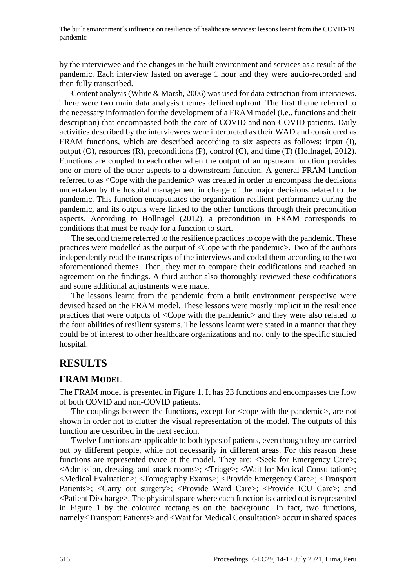by the interviewee and the changes in the built environment and services as a result of the pandemic. Each interview lasted on average 1 hour and they were audio-recorded and then fully transcribed.

Content analysis (White & Marsh, 2006) was used for data extraction from interviews. There were two main data analysis themes defined upfront. The first theme referred to the necessary information for the development of a FRAM model (i.e., functions and their description) that encompassed both the care of COVID and non-COVID patients. Daily activities described by the interviewees were interpreted as their WAD and considered as FRAM functions, which are described according to six aspects as follows: input (I), output (O), resources (R), preconditions (P), control (C), and time (T) (Hollnagel, 2012). Functions are coupled to each other when the output of an upstream function provides one or more of the other aspects to a downstream function. A general FRAM function referred to as <Cope with the pandemic> was created in order to encompass the decisions undertaken by the hospital management in charge of the major decisions related to the pandemic. This function encapsulates the organization resilient performance during the pandemic, and its outputs were linked to the other functions through their precondition aspects. According to Hollnagel (2012), a precondition in FRAM corresponds to conditions that must be ready for a function to start.

The second theme referred to the resilience practices to cope with the pandemic. These practices were modelled as the output of <Cope with the pandemic>. Two of the authors independently read the transcripts of the interviews and coded them according to the two aforementioned themes. Then, they met to compare their codifications and reached an agreement on the findings. A third author also thoroughly reviewed these codifications and some additional adjustments were made.

The lessons learnt from the pandemic from a built environment perspective were devised based on the FRAM model. These lessons were mostly implicit in the resilience practices that were outputs of <Cope with the pandemic> and they were also related to the four abilities of resilient systems. The lessons learnt were stated in a manner that they could be of interest to other healthcare organizations and not only to the specific studied hospital.

### **RESULTS**

#### **FRAM MODEL**

The FRAM model is presented in Figure 1. It has 23 functions and encompasses the flow of both COVID and non-COVID patients.

The couplings between the functions, except for <cope with the pandemic>, are not shown in order not to clutter the visual representation of the model. The outputs of this function are described in the next section.

Twelve functions are applicable to both types of patients, even though they are carried out by different people, while not necessarily in different areas. For this reason these functions are represented twice at the model. They are: <Seek for Emergency Care>; <Admission, dressing, and snack rooms>; <Triage>; <Wait for Medical Consultation>; <Medical Evaluation>; <Tomography Exams>; <Provide Emergency Care>; <Transport Patients>; <Carry out surgery>; <Provide Ward Care>; <Provide ICU Care>; and <Patient Discharge>. The physical space where each function is carried out is represented in Figure 1 by the coloured rectangles on the background. In fact, two functions, namely<Transport Patients> and <Wait for Medical Consultation> occur in shared spaces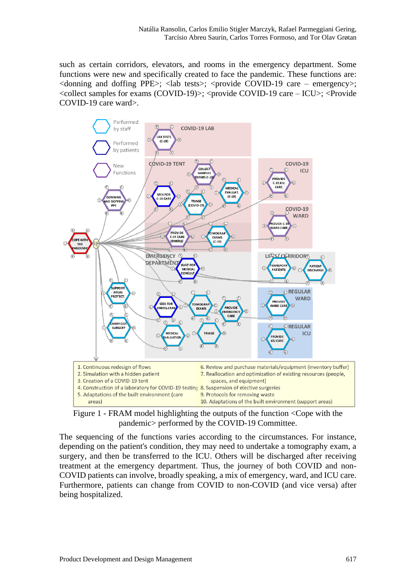such as certain corridors, elevators, and rooms in the emergency department. Some functions were new and specifically created to face the pandemic. These functions are:  $\le$  donning and doffing PPE $\ge$ ;  $\le$  lab tests $\ge$ ;  $\le$  provide COVID-19 care – emergency $\ge$ ;  $\le$ collect samples for exams (COVID-19) $>$ ;  $\le$ provide COVID-19 care – ICU $>$ ;  $\le$ Provide COVID-19 care ward>.



Figure 1 - FRAM model highlighting the outputs of the function <Cope with the pandemic> performed by the COVID-19 Committee.

The sequencing of the functions varies according to the circumstances. For instance, depending on the patient's condition, they may need to undertake a tomography exam, a surgery, and then be transferred to the ICU. Others will be discharged after receiving treatment at the emergency department. Thus, the journey of both COVID and non-COVID patients can involve, broadly speaking, a mix of emergency, ward, and ICU care. Furthermore, patients can change from COVID to non-COVID (and vice versa) after being hospitalized.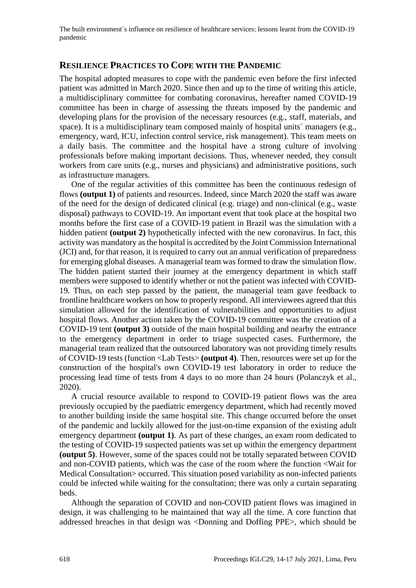#### **RESILIENCE PRACTICES TO COPE WITH THE PANDEMIC**

The hospital adopted measures to cope with the pandemic even before the first infected patient was admitted in March 2020. Since then and up to the time of writing this article, a multidisciplinary committee for combating coronavirus, hereafter named COVID-19 committee has been in charge of assessing the threats imposed by the pandemic and developing plans for the provision of the necessary resources (e.g., staff, materials, and space). It is a multidisciplinary team composed mainly of hospital units managers (e.g., emergency, ward, ICU, infection control service, risk management). This team meets on a daily basis. The committee and the hospital have a strong culture of involving professionals before making important decisions. Thus, whenever needed, they consult workers from care units (e.g., nurses and physicians) and administrative positions, such as infrastructure managers.

One of the regular activities of this committee has been the continuous redesign of flows **(output 1)** of patients and resources. Indeed, since March 2020 the staff was aware of the need for the design of dedicated clinical (e.g. triage) and non-clinical (e.g., waste disposal) pathways to COVID-19. An important event that took place at the hospital two months before the first case of a COVID-19 patient in Brazil was the simulation with a hidden patient **(output 2)** hypothetically infected with the new coronavirus. In fact, this activity was mandatory as the hospital is accredited by the Joint Commission International (JCI) and, for that reason, it is required to carry out an annual verification of preparedness for emerging global diseases. A managerial team was formed to draw the simulation flow. The hidden patient started their journey at the emergency department in which staff members were supposed to identify whether or not the patient was infected with COVID-19. Thus, on each step passed by the patient, the managerial team gave feedback to frontline healthcare workers on how to properly respond. All interviewees agreed that this simulation allowed for the identification of vulnerabilities and opportunities to adjust hospital flows. Another action taken by the COVID-19 committee was the creation of a COVID-19 tent **(output 3)** outside of the main hospital building and nearby the entrance to the emergency department in order to triage suspected cases. Furthermore, the managerial team realized that the outsourced laboratory was not providing timely results of COVID-19 tests (function <Lab Tests> **(output 4)**. Then, resources were set up for the construction of the hospital's own COVID-19 test laboratory in order to reduce the processing lead time of tests from 4 days to no more than 24 hours (Polanczyk et al., 2020).

A crucial resource available to respond to COVID-19 patient flows was the area previously occupied by the paediatric emergency department, which had recently moved to another building inside the same hospital site. This change occurred before the onset of the pandemic and luckily allowed for the just-on-time expansion of the existing adult emergency department **(output 1)**. As part of these changes, an exam room dedicated to the testing of COVID-19 suspected patients was set up within the emergency department **(output 5)**. However, some of the spaces could not be totally separated between COVID and non-COVID patients, which was the case of the room where the function <Wait for Medical Consultation> occurred. This situation posed variability as non-infected patients could be infected while waiting for the consultation; there was only a curtain separating beds.

Although the separation of COVID and non-COVID patient flows was imagined in design, it was challenging to be maintained that way all the time. A core function that addressed breaches in that design was <Donning and Doffing PPE>, which should be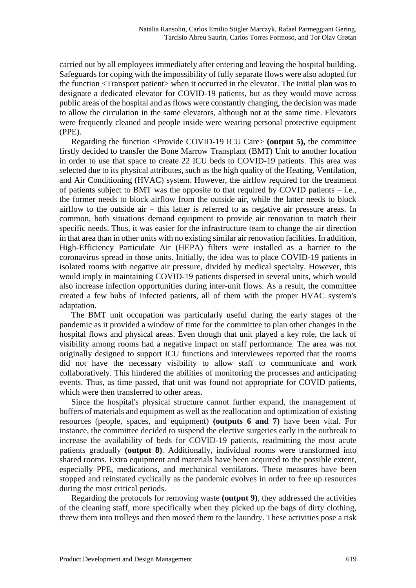carried out by all employees immediately after entering and leaving the hospital building. Safeguards for coping with the impossibility of fully separate flows were also adopted for the function <Transport patient> when it occurred in the elevator. The initial plan was to designate a dedicated elevator for COVID-19 patients, but as they would move across public areas of the hospital and as flows were constantly changing, the decision was made to allow the circulation in the same elevators, although not at the same time. Elevators were frequently cleaned and people inside were wearing personal protective equipment (PPE).

Regarding the function <Provide COVID-19 ICU Care> **(output 5),** the committee firstly decided to transfer the Bone Marrow Transplant (BMT) Unit to another location in order to use that space to create 22 ICU beds to COVID-19 patients. This area was selected due to its physical attributes, such as the high quality of the Heating, Ventilation, and Air Conditioning (HVAC) system. However, the airflow required for the treatment of patients subject to BMT was the opposite to that required by COVID patients  $-$  i.e., the former needs to block airflow from the outside air, while the latter needs to block airflow to the outside air – this latter is referred to as negative air pressure areas. In common, both situations demand equipment to provide air renovation to match their specific needs. Thus, it was easier for the infrastructure team to change the air direction in that area than in other units with no existing similar air renovation facilities. In addition, High-Efficiency Particulate Air (HEPA) filters were installed as a barrier to the coronavirus spread in those units. Initially, the idea was to place COVID-19 patients in isolated rooms with negative air pressure, divided by medical specialty. However, this would imply in maintaining COVID-19 patients dispersed in several units, which would also increase infection opportunities during inter-unit flows. As a result, the committee created a few hubs of infected patients, all of them with the proper HVAC system's adaptation.

The BMT unit occupation was particularly useful during the early stages of the pandemic as it provided a window of time for the committee to plan other changes in the hospital flows and physical areas. Even though that unit played a key role, the lack of visibility among rooms had a negative impact on staff performance. The area was not originally designed to support ICU functions and interviewees reported that the rooms did not have the necessary visibility to allow staff to communicate and work collaboratively. This hindered the abilities of monitoring the processes and anticipating events. Thus, as time passed, that unit was found not appropriate for COVID patients, which were then transferred to other areas.

Since the hospital's physical structure cannot further expand, the management of buffers of materials and equipment as well as the reallocation and optimization of existing resources (people, spaces, and equipment) **(outputs 6 and 7)** have been vital. For instance, the committee decided to suspend the elective surgeries early in the outbreak to increase the availability of beds for COVID-19 patients, readmitting the most acute patients gradually **(output 8)**. Additionally, individual rooms were transformed into shared rooms. Extra equipment and materials have been acquired to the possible extent, especially PPE, medications, and mechanical ventilators. These measures have been stopped and reinstated cyclically as the pandemic evolves in order to free up resources during the most critical periods.

Regarding the protocols for removing waste **(output 9)**, they addressed the activities of the cleaning staff, more specifically when they picked up the bags of dirty clothing, threw them into trolleys and then moved them to the laundry. These activities pose a risk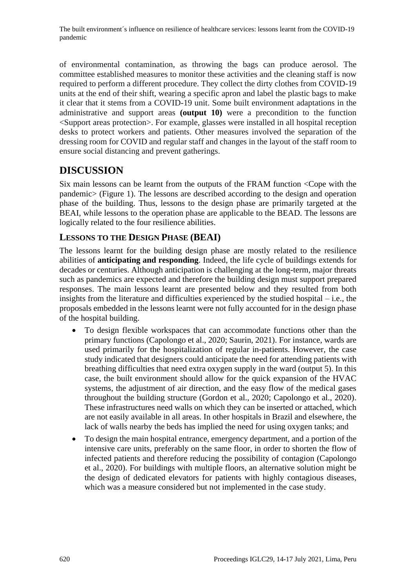of environmental contamination, as throwing the bags can produce aerosol. The committee established measures to monitor these activities and the cleaning staff is now required to perform a different procedure. They collect the dirty clothes from COVID-19 units at the end of their shift, wearing a specific apron and label the plastic bags to make it clear that it stems from a COVID-19 unit. Some built environment adaptations in the administrative and support areas **(output 10)** were a precondition to the function <Support areas protection>. For example, glasses were installed in all hospital reception desks to protect workers and patients. Other measures involved the separation of the dressing room for COVID and regular staff and changes in the layout of the staff room to ensure social distancing and prevent gatherings.

## **DISCUSSION**

Six main lessons can be learnt from the outputs of the FRAM function <Cope with the pandemic> (Figure 1). The lessons are described according to the design and operation phase of the building. Thus, lessons to the design phase are primarily targeted at the BEAI, while lessons to the operation phase are applicable to the BEAD. The lessons are logically related to the four resilience abilities.

## **LESSONS TO THE DESIGN PHASE (BEAI)**

The lessons learnt for the building design phase are mostly related to the resilience abilities of **anticipating and responding**. Indeed, the life cycle of buildings extends for decades or centuries. Although anticipation is challenging at the long-term, major threats such as pandemics are expected and therefore the building design must support prepared responses. The main lessons learnt are presented below and they resulted from both insights from the literature and difficulties experienced by the studied hospital – i.e., the proposals embedded in the lessons learnt were not fully accounted for in the design phase of the hospital building.

- To design flexible workspaces that can accommodate functions other than the primary functions (Capolongo et al., 2020; Saurin, 2021). For instance, wards are used primarily for the hospitalization of regular in-patients. However, the case study indicated that designers could anticipate the need for attending patients with breathing difficulties that need extra oxygen supply in the ward (output 5). In this case, the built environment should allow for the quick expansion of the HVAC systems, the adjustment of air direction, and the easy flow of the medical gases throughout the building structure (Gordon et al., 2020; Capolongo et al., 2020). These infrastructures need walls on which they can be inserted or attached, which are not easily available in all areas. In other hospitals in Brazil and elsewhere, the lack of walls nearby the beds has implied the need for using oxygen tanks; and
- To design the main hospital entrance, emergency department, and a portion of the intensive care units, preferably on the same floor, in order to shorten the flow of infected patients and therefore reducing the possibility of contagion (Capolongo et al., 2020). For buildings with multiple floors, an alternative solution might be the design of dedicated elevators for patients with highly contagious diseases, which was a measure considered but not implemented in the case study.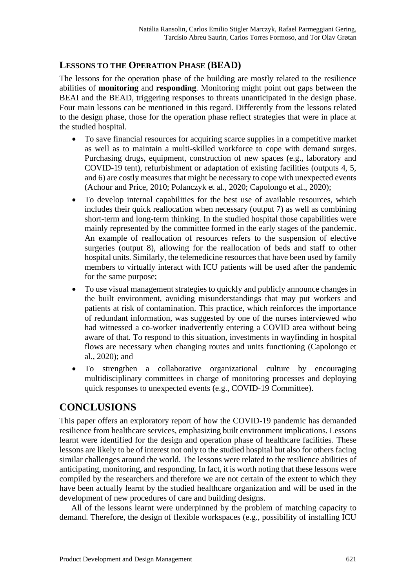#### **LESSONS TO THE OPERATION PHASE (BEAD)**

The lessons for the operation phase of the building are mostly related to the resilience abilities of **monitoring** and **responding**. Monitoring might point out gaps between the BEAI and the BEAD, triggering responses to threats unanticipated in the design phase. Four main lessons can be mentioned in this regard. Differently from the lessons related to the design phase, those for the operation phase reflect strategies that were in place at the studied hospital.

- To save financial resources for acquiring scarce supplies in a competitive market as well as to maintain a multi-skilled workforce to cope with demand surges. Purchasing drugs, equipment, construction of new spaces (e.g., laboratory and COVID-19 tent), refurbishment or adaptation of existing facilities (outputs 4, 5, and 6) are costly measures that might be necessary to cope with unexpected events (Achour and Price, 2010; Polanczyk et al., 2020; Capolongo et al., 2020);
- To develop internal capabilities for the best use of available resources, which includes their quick reallocation when necessary (output 7) as well as combining short-term and long-term thinking. In the studied hospital those capabilities were mainly represented by the committee formed in the early stages of the pandemic. An example of reallocation of resources refers to the suspension of elective surgeries (output 8), allowing for the reallocation of beds and staff to other hospital units. Similarly, the telemedicine resources that have been used by family members to virtually interact with ICU patients will be used after the pandemic for the same purpose;
- To use visual management strategies to quickly and publicly announce changes in the built environment, avoiding misunderstandings that may put workers and patients at risk of contamination. This practice, which reinforces the importance of redundant information, was suggested by one of the nurses interviewed who had witnessed a co-worker inadvertently entering a COVID area without being aware of that. To respond to this situation, investments in wayfinding in hospital flows are necessary when changing routes and units functioning (Capolongo et al., 2020); and
- To strengthen a collaborative organizational culture by encouraging multidisciplinary committees in charge of monitoring processes and deploying quick responses to unexpected events (e.g., COVID-19 Committee).

# **CONCLUSIONS**

This paper offers an exploratory report of how the COVID-19 pandemic has demanded resilience from healthcare services, emphasizing built environment implications. Lessons learnt were identified for the design and operation phase of healthcare facilities. These lessons are likely to be of interest not only to the studied hospital but also for others facing similar challenges around the world. The lessons were related to the resilience abilities of anticipating, monitoring, and responding. In fact, it is worth noting that these lessons were compiled by the researchers and therefore we are not certain of the extent to which they have been actually learnt by the studied healthcare organization and will be used in the development of new procedures of care and building designs.

All of the lessons learnt were underpinned by the problem of matching capacity to demand. Therefore, the design of flexible workspaces (e.g., possibility of installing ICU